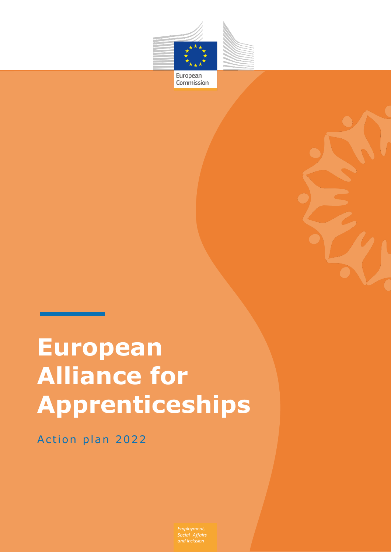

Commission

# **European Alliance for Apprenticeships**

Action plan 2022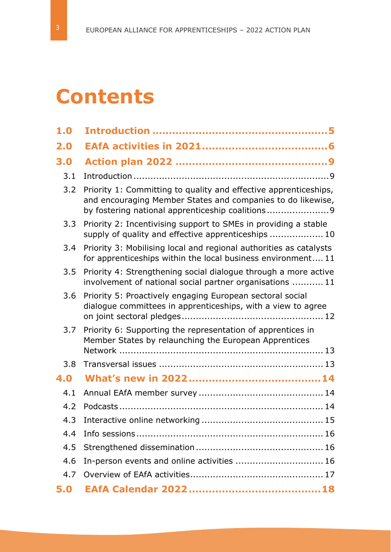## **Contents**

| 1.0 |                                                                                                                                                                                     |
|-----|-------------------------------------------------------------------------------------------------------------------------------------------------------------------------------------|
| 2.0 |                                                                                                                                                                                     |
| 3.0 |                                                                                                                                                                                     |
| 3.1 |                                                                                                                                                                                     |
| 3.2 | Priority 1: Committing to quality and effective apprenticeships,<br>and encouraging Member States and companies to do likewise,<br>by fostering national apprenticeship coalitions9 |
| 3.3 | Priority 2: Incentivising support to SMEs in providing a stable<br>supply of quality and effective apprenticeships  10                                                              |
| 3.4 | Priority 3: Mobilising local and regional authorities as catalysts<br>for apprenticeships within the local business environment 11                                                  |
| 3.5 | Priority 4: Strengthening social dialogue through a more active<br>involvement of national social partner organisations  11                                                         |
| 3.6 | Priority 5: Proactively engaging European sectoral social<br>dialogue committees in apprenticeships, with a view to agree                                                           |
| 3.7 | Priority 6: Supporting the representation of apprentices in<br>Member States by relaunching the European Apprentices                                                                |
| 3.8 |                                                                                                                                                                                     |
| 4.0 |                                                                                                                                                                                     |
| 4.1 |                                                                                                                                                                                     |
| 4.2 |                                                                                                                                                                                     |
| 4.3 |                                                                                                                                                                                     |
| 4.4 |                                                                                                                                                                                     |
| 4.5 |                                                                                                                                                                                     |
| 4.6 | In-person events and online activities  16                                                                                                                                          |
| 4.7 |                                                                                                                                                                                     |
| 5.0 |                                                                                                                                                                                     |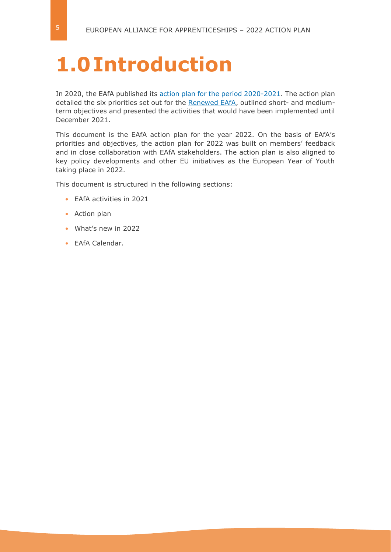## <span id="page-4-0"></span>**1.0Introduction**

In 2020, the EAfA published its [action plan for the period 2020-2021.](https://ec.europa.eu/social/BlobServlet?docId=23080&langId=en) The action plan detailed the six priorities set out for the [Renewed EAfA,](https://ec.europa.eu/social/main.jsp?langId=en&catId=89&newsId=9812&furtherNews=yes#navItem-1) outlined short- and mediumterm objectives and presented the activities that would have been implemented until December 2021.

This document is the EAfA action plan for the year 2022. On the basis of EAfA's priorities and objectives, the action plan for 2022 was built on members' feedback and in close collaboration with EAfA stakeholders. The action plan is also aligned to key policy developments and other EU initiatives as the European Year of Youth taking place in 2022.

This document is structured in the following sections:

- **•** EAfA activities in 2021
- **•** Action plan
- **•** What's new in 2022
- **•** EAfA Calendar.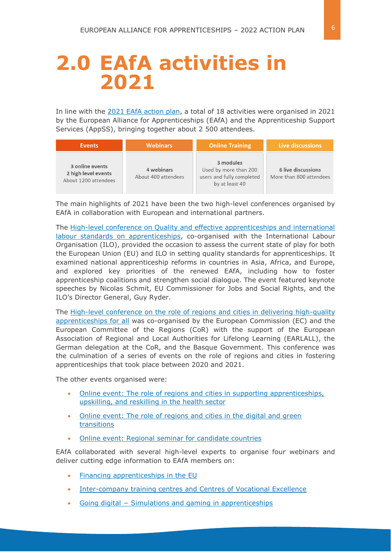## <span id="page-5-0"></span>**2.0 EAfA activities in 2021**

In line with the [2021 EAfA action plan,](https://ec.europa.eu/social/BlobServlet?docId=23080&langId=en) a total of 18 activities were organised in 2021 by the European Alliance for Apprenticeships (EAfA) and the Apprenticeship Support Services (AppSS), bringing together about 2 500 attendees.

| <b>Events</b>                                                  | <b>Webinars</b>                   | <b>Online Training</b>                                                            | Live discussions                              |  |  |  |  |
|----------------------------------------------------------------|-----------------------------------|-----------------------------------------------------------------------------------|-----------------------------------------------|--|--|--|--|
| 3 online events<br>2 high level events<br>About 1200 attendees | 4 webinars<br>About 400 attendees | 3 modules<br>Used by more than 200<br>users and fully completed<br>by at least 40 | 6 live discussions<br>More than 800 attendees |  |  |  |  |

The main highlights of 2021 have been the two high-level conferences organised by EAfA in collaboration with European and international partners.

The High-level conference on [Quality and effective apprenticeships and international](https://ec.europa.eu/social/main.jsp?langId=en&catId=1147&newsId=9950&furtherNews=yes)  [labour standards on apprenticeships,](https://ec.europa.eu/social/main.jsp?langId=en&catId=1147&newsId=9950&furtherNews=yes) co-organised with the International Labour Organisation (ILO), provided the occasion to assess the current state of play for both the European Union (EU) and ILO in setting quality standards for apprenticeships. It examined national apprenticeship reforms in countries in Asia, Africa, and Europe, and explored key priorities of the renewed EAfA, including how to foster apprenticeship coalitions and strengthen social dialogue. The event featured keynote speeches by Nicolas Schmit, EU Commissioner for Jobs and Social Rights, and the ILO's Director General, Guy Ryder.

The High-level conference on [the role of regions and cities in delivering high-quality](https://ec.europa.eu/social/main.jsp?langId=en&catId=1147&newsId=10014&furtherNews=yes)  [apprenticeships for all](https://ec.europa.eu/social/main.jsp?langId=en&catId=1147&newsId=10014&furtherNews=yes) was co-organised by the European Commission (EC) and the European Committee of the Regions (CoR) with the support of the European Association of Regional and Local Authorities for Lifelong Learning (EARLALL), the German delegation at the CoR, and the Basque Government. This conference was the culmination of a series of events on the role of regions and cities in fostering apprenticeships that took place between 2020 and 2021.

The other events organised were:

- [Online event: The role of regions and cities in supporting apprenticeships,](https://ec.europa.eu/social/main.jsp?langId=en&catId=1147&newsId=9951&furtherNews=yes)  upskilling, [and reskilling in the health sector](https://ec.europa.eu/social/main.jsp?langId=en&catId=1147&newsId=9951&furtherNews=yes)
- [Online event: The role of regions and cities in the digital and green](https://ec.europa.eu/social/main.jsp?langId=en&catId=1147&newsId=9914&furtherNews=yes)  [transitions](https://ec.europa.eu/social/main.jsp?langId=en&catId=1147&newsId=9914&furtherNews=yes)
- [Online event: Regional seminar for candidate countries](https://ec.europa.eu/social/main.jsp?langId=en&catId=1147&furtherNews=yes&newsId=10106)

EAfA collaborated with several high-level experts to organise four webinars and deliver cutting edge information to EAfA members on:

- [Financing apprenticeships in the EU](https://ec.europa.eu/social/main.jsp?langId=en&catId=1500&newsId=9915&furtherNews=yes)
- [Inter-company training centres and Centres of Vocational Excellence](https://ec.europa.eu/social/main.jsp?langId=en&catId=1500&newsId=9952&furtherNews=yes)
- Going digital − [Simulations and gaming in apprenticeships](https://ec.europa.eu/social/main.jsp?langId=en&catId=1500&newsId=10013&furtherNews=yes)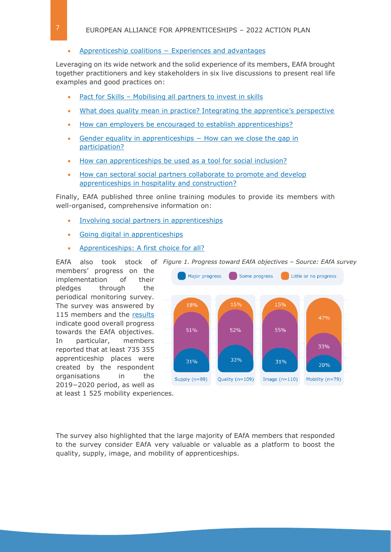#### • Apprenticeship coalitions − [Experiences and advantages](https://ec.europa.eu/social/main.jsp?langId=en&catId=1500&newsId=10055&furtherNews=yes)

Leveraging on its wide network and the solid experience of its members, EAfA brought together practitioners and key stakeholders in six live discussions to present real life examples and good practices on:

- Pact for Skills [Mobilising all partners to invest in skills](https://ec.europa.eu/social/main.jsp?langId=en&catId=1175&newsId=9909&furtherNews=yes)
- [What does quality mean in practice? Integrating the apprentice's perspective](https://ec.europa.eu/social/main.jsp?langId=en&catId=1175&newsId=9912&furtherNews=yes)
- [How can employers be encouraged to establish apprenticeships?](https://ec.europa.eu/social/main.jsp?langId=en&catId=1175&newsId=9992&furtherNews=yes)
- Gender equality in apprenticeships How can we close the gap in [participation?](https://ec.europa.eu/social/main.jsp?langId=en&catId=1175&newsId=10030&furtherNews=yes)
- [How can apprenticeships be used as a tool for social inclusion?](https://ec.europa.eu/social/main.jsp?langId=en&catId=1147&furtherNews=yes&newsId=10075)
- How can [sectoral social partners collaborate to promote and develop](https://ec.europa.eu/social/main.jsp?langId=en&catId=1147&furtherNews=yes&newsId=10076)  [apprenticeships in hospitality and construction?](https://ec.europa.eu/social/main.jsp?langId=en&catId=1147&furtherNews=yes&newsId=10076)

Finally, EAfA published three online training modules to provide its members with well-organised, comprehensive information on:

- [Involving social partners in apprenticeships](https://ec.europa.eu/social/main.jsp?langId=en&catId=1475&newsId=9911&furtherNews=yes)
- [Going digital in apprenticeships](https://ec.europa.eu/social/main.jsp?langId=en&catId=1475&newsId=9985&furtherNews=yes)
- [Apprenticeships: A first choice for all?](https://ec.europa.eu/social/main.jsp?langId=en&catId=1475&newsId=10056&furtherNews=yes)

EAfA also took stock of *Figure 1. Progress toward EAfA objectives – Source: EAfA survey*

members' progress on the implementation of their pledges through the periodical monitoring survey. The survey was answered by 115 members and the [results](https://ec.europa.eu/social/main.jsp?langId=en&catId=1147&newsId=10054&furtherNews=yes) indicate good overall progress towards the EAfA objectives. In particular, members reported that at least 735 355 apprenticeship places were created by the respondent organisations in the 2019−2020 period, as well as

Major progress Some progress Little or no progress 15% 15% 18% 47% 51% 52% 55% 33% 33% 31% 31% 20% Image  $(n=110)$  Mobility  $(n=79)$ Supply  $(n=89)$ Quality (n=109)

at least 1 525 mobility experiences.

The survey also highlighted that the large majority of EAfA members that responded to the survey consider EAfA very valuable or valuable as a platform to boost the quality, supply, image, and mobility of apprenticeships.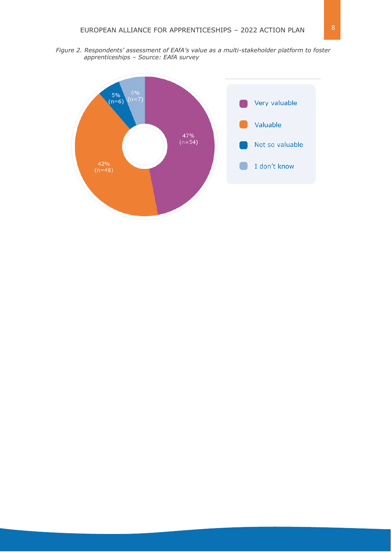*Figure 2. Respondents' assessment of EAfA's value as a multi-stakeholder platform to foster apprenticeships – Source: EAfA survey*

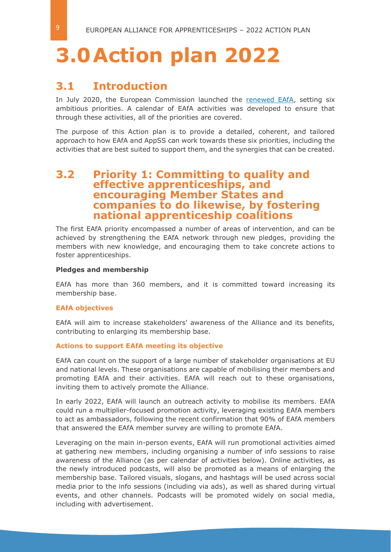# <span id="page-8-0"></span>**3.0Action plan 2022**

## <span id="page-8-1"></span>**3.1 Introduction**

In July 2020, the European Commission launched the [renewed EAfA,](https://ec.europa.eu/social/main.jsp?langId=en&catId=89&newsId=9812&furtherNews=yes#navItem-1) setting six ambitious priorities. A calendar of EAfA activities was developed to ensure that through these activities, all of the priorities are covered.

The purpose of this Action plan is to provide a detailed, coherent, and tailored approach to how EAfA and AppSS can work towards these six priorities, including the activities that are best suited to support them, and the synergies that can be created.

### <span id="page-8-2"></span>**3.2 Priority 1: Committing to quality and effective apprenticeships, and encouraging Member States and companies to do likewise, by fostering national apprenticeship coalitions**

The first EAfA priority encompassed a number of areas of intervention, and can be achieved by strengthening the EAfA network through new pledges, providing the members with new knowledge, and encouraging them to take concrete actions to foster apprenticeships.

#### **Pledges and membership**

EAfA has more than 360 members, and it is committed toward increasing its membership base.

#### **EAfA objectives**

EAfA will aim to increase stakeholders' awareness of the Alliance and its benefits, contributing to enlarging its membership base.

#### **Actions to support EAfA meeting its objective**

EAfA can count on the support of a large number of stakeholder organisations at EU and national levels. These organisations are capable of mobilising their members and promoting EAfA and their activities. EAfA will reach out to these organisations, inviting them to actively promote the Alliance.

In early 2022, EAfA will launch an outreach activity to mobilise its members. EAfA could run a multiplier-focused promotion activity, leveraging existing EAfA members to act as ambassadors, following the recent confirmation that 90% of EAfA members that answered the EAfA member survey are willing to promote EAfA.

Leveraging on the main in-person events, EAfA will run promotional activities aimed at gathering new members, including organising a number of info sessions to raise awareness of the Alliance (as per calendar of activities below). Online activities, as the newly introduced podcasts, will also be promoted as a means of enlarging the membership base. Tailored visuals, slogans, and hashtags will be used across social media prior to the info sessions (including via ads), as well as shared during virtual events, and other channels. Podcasts will be promoted widely on social media, including with advertisement.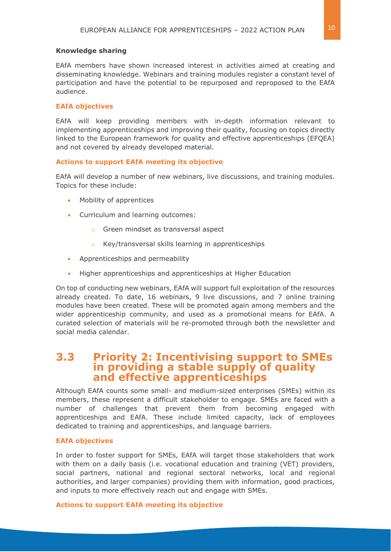#### **Knowledge sharing**

EAfA members have shown increased interest in activities aimed at creating and disseminating knowledge. Webinars and training modules register a constant level of participation and have the potential to be repurposed and reproposed to the EAfA audience.

#### **EAfA objectives**

EAfA will keep providing members with in-depth information relevant to implementing apprenticeships and improving their quality, focusing on topics directly linked to the European framework for quality and effective apprenticeships (EFQEA) and not covered by already developed material.

#### **Actions to support EAfA meeting its objective**

EAfA will develop a number of new webinars, live discussions, and training modules. Topics for these include:

- Mobility of apprentices
- Curriculum and learning outcomes:
	- o Green mindset as transversal aspect
	- o Key/transversal skills learning in apprenticeships
- Apprenticeships and permeability
- Higher apprenticeships and apprenticeships at Higher Education

On top of conducting new webinars, EAfA will support full exploitation of the resources already created. To date, 16 webinars, 9 live discussions, and 7 online training modules have been created. These will be promoted again among members and the wider apprenticeship community, and used as a promotional means for EAfA. A curated selection of materials will be re-promoted through both the newsletter and social media calendar.

## <span id="page-9-0"></span>**3.3 Priority 2: Incentivising support to SMEs in providing a stable supply of quality and effective apprenticeships**

Although EAfA counts some small- and medium-sized enterprises (SMEs) within its members, these represent a difficult stakeholder to engage. SMEs are faced with a number of challenges that prevent them from becoming engaged with apprenticeships and EAfA. These include limited capacity, lack of employees dedicated to training and apprenticeships, and language barriers.

#### **EAfA objectives**

In order to foster support for SMEs, EAfA will target those stakeholders that work with them on a daily basis (i.e. vocational education and training (VET) providers, social partners, national and regional sectoral networks, local and regional authorities, and larger companies) providing them with information, good practices, and inputs to more effectively reach out and engage with SMEs.

#### **Actions to support EAfA meeting its objective**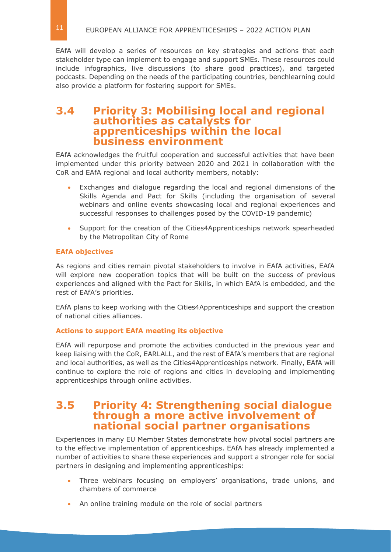EAfA will develop a series of resources on key strategies and actions that each stakeholder type can implement to engage and support SMEs. These resources could include infographics, live discussions (to share good practices), and targeted podcasts. Depending on the needs of the participating countries, benchlearning could also provide a platform for fostering support for SMEs.

## <span id="page-10-0"></span>**3.4 Priority 3: Mobilising local and regional authorities as catalysts for apprenticeships within the local business environment**

EAfA acknowledges the fruitful cooperation and successful activities that have been implemented under this priority between 2020 and 2021 in collaboration with the CoR and EAfA regional and local authority members, notably:

- Exchanges and dialogue regarding the local and regional dimensions of the Skills Agenda and Pact for Skills (including the organisation of several webinars and online events showcasing local and regional experiences and successful responses to challenges posed by the COVID-19 pandemic)
- Support for the creation of the Cities4Apprenticeships network spearheaded by the Metropolitan City of Rome

#### **EAfA objectives**

As regions and cities remain pivotal stakeholders to involve in EAfA activities, EAfA will explore new cooperation topics that will be built on the success of previous experiences and aligned with the Pact for Skills, in which EAfA is embedded, and the rest of EAfA's priorities.

EAfA plans to keep working with the Cities4Apprenticeships and support the creation of national cities alliances.

#### **Actions to support EAfA meeting its objective**

EAfA will repurpose and promote the activities conducted in the previous year and keep liaising with the CoR, EARLALL, and the rest of EAfA's members that are regional and local authorities, as well as the Cities4Apprenticeships network. Finally, EAfA will continue to explore the role of regions and cities in developing and implementing apprenticeships through online activities.

## <span id="page-10-1"></span>**3.5 Priority 4: Strengthening social dialogue through a more active involvement of national social partner organisations**

Experiences in many EU Member States demonstrate how pivotal social partners are to the effective implementation of apprenticeships. EAfA has already implemented a number of activities to share these experiences and support a stronger role for social partners in designing and implementing apprenticeships:

- Three webinars focusing on employers' organisations, trade unions, and chambers of commerce
- An online training module on the role of social partners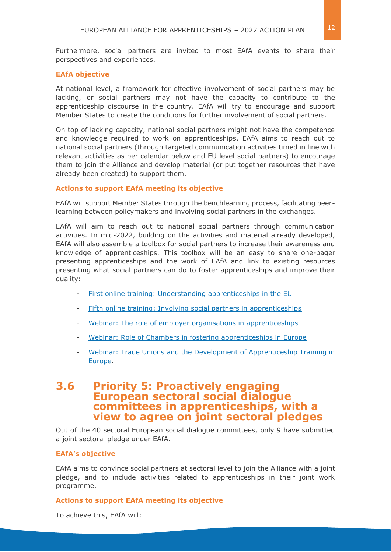#### **EAfA objective**

At national level, a framework for effective involvement of social partners may be lacking, or social partners may not have the capacity to contribute to the apprenticeship discourse in the country. EAfA will try to encourage and support Member States to create the conditions for further involvement of social partners.

On top of lacking capacity, national social partners might not have the competence and knowledge required to work on apprenticeships. EAfA aims to reach out to national social partners (through targeted communication activities timed in line with relevant activities as per calendar below and EU level social partners) to encourage them to join the Alliance and develop material (or put together resources that have already been created) to support them.

#### **Actions to support EAfA meeting its objective**

EAfA will support Member States through the benchlearning process, facilitating peerlearning between policymakers and involving social partners in the exchanges.

EAfA will aim to reach out to national social partners through communication activities. In mid-2022, building on the activities and material already developed, EAfA will also assemble a toolbox for social partners to increase their awareness and knowledge of apprenticeships. This toolbox will be an easy to share one-pager presenting apprenticeships and the work of EAfA and link to existing resources presenting what social partners can do to foster apprenticeships and improve their quality:

- [First online training: Understanding apprenticeships in the EU](https://ec.europa.eu/social/main.jsp?langId=en&catId=1475&newsId=9651&furtherNews=yes)
- [Fifth online training: Involving social partners in apprenticeships](https://ec.europa.eu/social/main.jsp?langId=en&catId=1475&newsId=9911&furtherNews=yes)
- [Webinar: The role of employer organisations in apprenticeships](https://ec.europa.eu/social/main.jsp?langId=en&catId=1500&newsId=9844&furtherNews=yes)
- [Webinar: Role of Chambers in fostering apprenticeships in Europe](https://ec.europa.eu/social/main.jsp?langId=en&catId=1500&newsId=9797&furtherNews=yes)
- Webinar: Trade Unions and the Development of Apprenticeship Training in [Europe.](https://ec.europa.eu/social/main.jsp?langId=en&catId=1500&newsId=9475&furtherNews=yes)

## <span id="page-11-0"></span>**3.6 Priority 5: Proactively engaging European sectoral social dialogue committees in apprenticeships, with a view to agree on joint sectoral pledges**

Out of the 40 sectoral European social dialogue committees, only 9 have submitted a joint sectoral pledge under EAfA.

#### **EAfA's objective**

EAfA aims to convince social partners at sectoral level to join the Alliance with a joint pledge, and to include activities related to apprenticeships in their joint work programme.

#### **Actions to support EAfA meeting its objective**

To achieve this, EAfA will: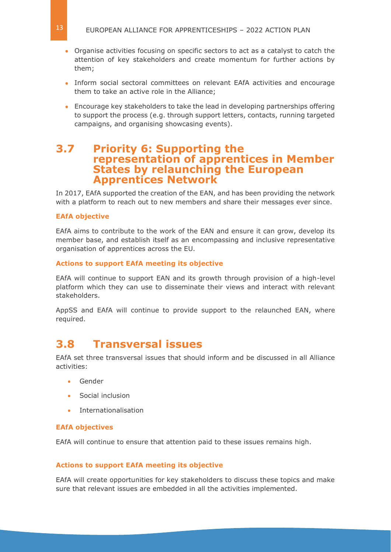- Organise activities focusing on specific sectors to act as a catalyst to catch the attention of key stakeholders and create momentum for further actions by them;
- Inform social sectoral committees on relevant EAfA activities and encourage them to take an active role in the Alliance;
- Encourage key stakeholders to take the lead in developing partnerships offering to support the process (e.g. through support letters, contacts, running targeted campaigns, and organising showcasing events).

### <span id="page-12-0"></span>**3.7 Priority 6: Supporting the representation of apprentices in Member States by relaunching the European Apprentices Network**

In 2017, EAfA supported the creation of the EAN, and has been providing the network with a platform to reach out to new members and share their messages ever since.

#### **EAfA objective**

EAfA aims to contribute to the work of the EAN and ensure it can grow, develop its member base, and establish itself as an encompassing and inclusive representative organisation of apprentices across the EU.

#### **Actions to support EAfA meeting its objective**

EAfA will continue to support EAN and its growth through provision of a high-level platform which they can use to disseminate their views and interact with relevant stakeholders.

AppSS and EAfA will continue to provide support to the relaunched EAN, where required.

## <span id="page-12-1"></span>**3.8 Transversal issues**

EAfA set three transversal issues that should inform and be discussed in all Alliance activities:

- Gender
- Social inclusion
- **Internationalisation**

#### **EAfA objectives**

EAfA will continue to ensure that attention paid to these issues remains high.

#### **Actions to support EAfA meeting its objective**

EAfA will create opportunities for key stakeholders to discuss these topics and make sure that relevant issues are embedded in all the activities implemented.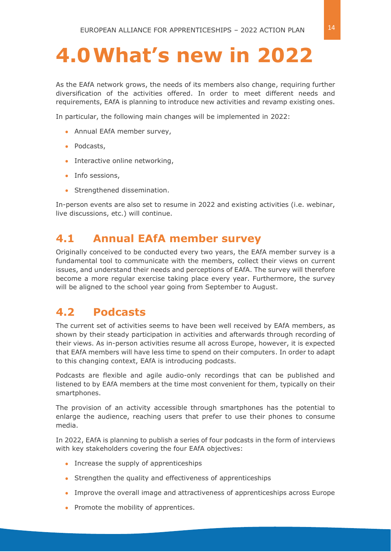# <span id="page-13-0"></span>**4.0What's new in 2022**

As the EAfA network grows, the needs of its members also change, requiring further diversification of the activities offered. In order to meet different needs and requirements, EAfA is planning to introduce new activities and revamp existing ones.

In particular, the following main changes will be implemented in 2022:

- Annual EAfA member survey,
- Podcasts,
- Interactive online networking,
- Info sessions,
- Strengthened dissemination.

In-person events are also set to resume in 2022 and existing activities (i.e. webinar, live discussions, etc.) will continue.

## <span id="page-13-1"></span>**4.1 Annual EAfA member survey**

Originally conceived to be conducted every two years, the EAfA member survey is a fundamental tool to communicate with the members, collect their views on current issues, and understand their needs and perceptions of EAfA. The survey will therefore become a more regular exercise taking place every year. Furthermore, the survey will be aligned to the school year going from September to August.

## <span id="page-13-2"></span>**4.2 Podcasts**

The current set of activities seems to have been well received by EAfA members, as shown by their steady participation in activities and afterwards through recording of their views. As in-person activities resume all across Europe, however, it is expected that EAfA members will have less time to spend on their computers. In order to adapt to this changing context, EAfA is introducing podcasts.

Podcasts are flexible and agile audio-only recordings that can be published and listened to by EAfA members at the time most convenient for them, typically on their smartphones.

The provision of an activity accessible through smartphones has the potential to enlarge the audience, reaching users that prefer to use their phones to consume media.

In 2022, EAfA is planning to publish a series of four podcasts in the form of interviews with key stakeholders covering the four EAfA objectives:

- Increase the supply of apprenticeships
- Strengthen the quality and effectiveness of apprenticeships
- Improve the overall image and attractiveness of apprenticeships across Europe
- Promote the mobility of apprentices.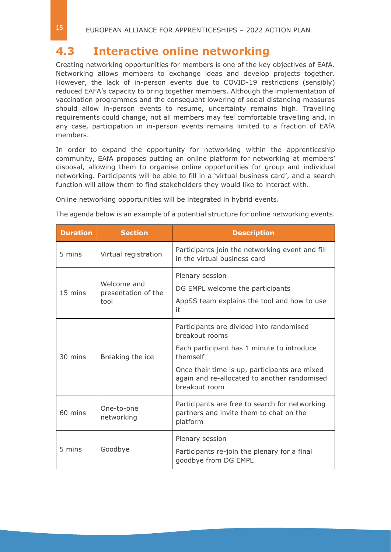## <span id="page-14-0"></span>**4.3 Interactive online networking**

Creating networking opportunities for members is one of the key objectives of EAfA. Networking allows members to exchange ideas and develop projects together. However, the lack of in-person events due to COVID-19 restrictions (sensibly) reduced EAFA's capacity to bring together members. Although the implementation of vaccination programmes and the consequent lowering of social distancing measures should allow in-person events to resume, uncertainty remains high. Travelling requirements could change, not all members may feel comfortable travelling and, in any case, participation in in-person events remains limited to a fraction of EAfA members.

In order to expand the opportunity for networking within the apprenticeship community, EAfA proposes putting an online platform for networking at members' disposal, allowing them to organise online opportunities for group and individual networking. Participants will be able to fill in a 'virtual business card', and a search function will allow them to find stakeholders they would like to interact with.

Online networking opportunities will be integrated in hybrid events.

The agenda below is an example of a potential structure for online networking events.

| <b>Duration</b>                                                                | <b>Section</b>       | <b>Description</b>                                                                                                                                                                                                                     |  |  |
|--------------------------------------------------------------------------------|----------------------|----------------------------------------------------------------------------------------------------------------------------------------------------------------------------------------------------------------------------------------|--|--|
| 5 mins                                                                         | Virtual registration | Participants join the networking event and fill<br>in the virtual business card                                                                                                                                                        |  |  |
| Plenary session<br>Welcome and<br>15 mins<br>presentation of the<br>tool<br>it |                      | DG EMPL welcome the participants<br>AppSS team explains the tool and how to use                                                                                                                                                        |  |  |
| 30 mins                                                                        | Breaking the ice     | Participants are divided into randomised<br>breakout rooms<br>Each participant has 1 minute to introduce<br>themself<br>Once their time is up, participants are mixed<br>again and re-allocated to another randomised<br>breakout room |  |  |
| One-to-one<br>60 mins<br>networking                                            |                      | Participants are free to search for networking<br>partners and invite them to chat on the<br>platform                                                                                                                                  |  |  |
| 5 mins                                                                         | Goodbye              | Plenary session<br>Participants re-join the plenary for a final<br>goodbye from DG EMPL                                                                                                                                                |  |  |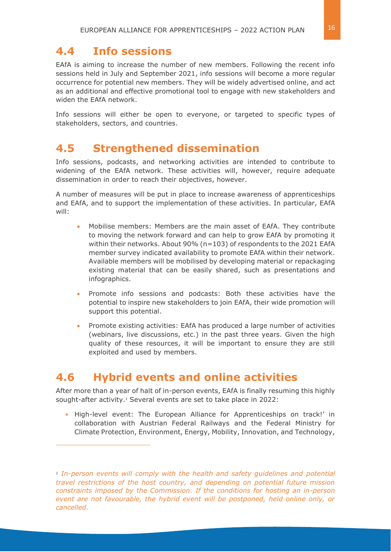## <span id="page-15-0"></span>**4.4 Info sessions**

EAfA is aiming to increase the number of new members. Following the recent info sessions held in July and September 2021, info sessions will become a more regular occurrence for potential new members. They will be widely advertised online, and act as an additional and effective promotional tool to engage with new stakeholders and widen the EAfA network.

Info sessions will either be open to everyone, or targeted to specific types of stakeholders, sectors, and countries.

## <span id="page-15-1"></span>**4.5 Strengthened dissemination**

Info sessions, podcasts, and networking activities are intended to contribute to widening of the EAfA network. These activities will, however, require adequate dissemination in order to reach their objectives, however.

A number of measures will be put in place to increase awareness of apprenticeships and EAfA, and to support the implementation of these activities. In particular, EAfA will:

- Mobilise members: Members are the main asset of EAfA. They contribute to moving the network forward and can help to grow EAfA by promoting it within their networks. About 90% (n=103) of respondents to the 2021 EAfA member survey indicated availability to promote EAfA within their network. Available members will be mobilised by developing material or repackaging existing material that can be easily shared, such as presentations and infographics.
- Promote info sessions and podcasts: Both these activities have the potential to inspire new stakeholders to join EAfA, their wide promotion will support this potential.
- Promote existing activities: EAfA has produced a large number of activities (webinars, live discussions, etc.) in the past three years. Given the high quality of these resources, it will be important to ensure they are still exploited and used by members.

## <span id="page-15-2"></span>**4.6 Hybrid events and online activities**

After more than a year of halt of in-person events, EAfA is finally resuming this highly sought-after activity.*<sup>1</sup>* Several events are set to take place in 2022:

**•** High-level event: The European Alliance for Apprenticeships on track!' in collaboration with Austrian Federal Railways and the Federal Ministry for Climate Protection, Environment, Energy, Mobility, Innovation, and Technology,

*<sup>1</sup> In-person events will comply with the health and safety guidelines and potential travel restrictions of the host country, and depending on potential future mission constraints imposed by the Commission. If the conditions for hosting an in-person event are not favourable, the hybrid event will be postponed, held online only, or cancelled.*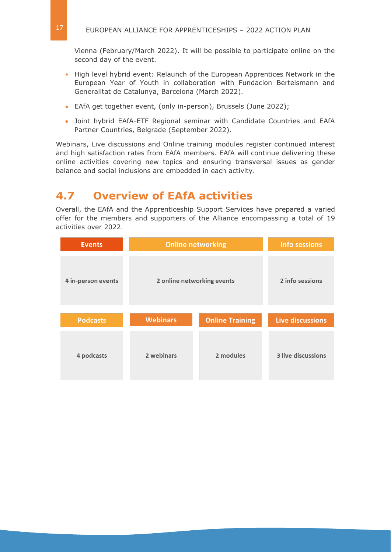Vienna (February/March 2022). It will be possible to participate online on the second day of the event.

- **•** High level hybrid event: Relaunch of the European Apprentices Network in the European Year of Youth in collaboration with Fundacion Bertelsmann and Generalitat de Catalunya, Barcelona (March 2022).
- EAfA get together event, (only in-person), Brussels (June 2022);
- Joint hybrid EAfA-ETF Regional seminar with Candidate Countries and EAfA Partner Countries, Belgrade (September 2022).

Webinars, Live discussions and Online training modules register continued interest and high satisfaction rates from EAfA members. EAfA will continue delivering these online activities covering new topics and ensuring transversal issues as gender balance and social inclusions are embedded in each activity.

## <span id="page-16-0"></span>**4.7 Overview of EAfA activities**

Overall, the EAfA and the Apprenticeship Support Services have prepared a varied offer for the members and supporters of the Alliance encompassing a total of 19 activities over 2022.

| <b>Events</b>      | <b>Online networking</b>                  | <b>Info sessions</b> |                           |  |  |  |
|--------------------|-------------------------------------------|----------------------|---------------------------|--|--|--|
| 4 in-person events | 2 online networking events                | 2 info sessions      |                           |  |  |  |
| <b>Podcasts</b>    | <b>Webinars</b><br><b>Online Training</b> |                      | Live discussions          |  |  |  |
|                    |                                           |                      |                           |  |  |  |
| 4 podcasts         | 2 webinars                                | 2 modules            | <b>3 live discussions</b> |  |  |  |